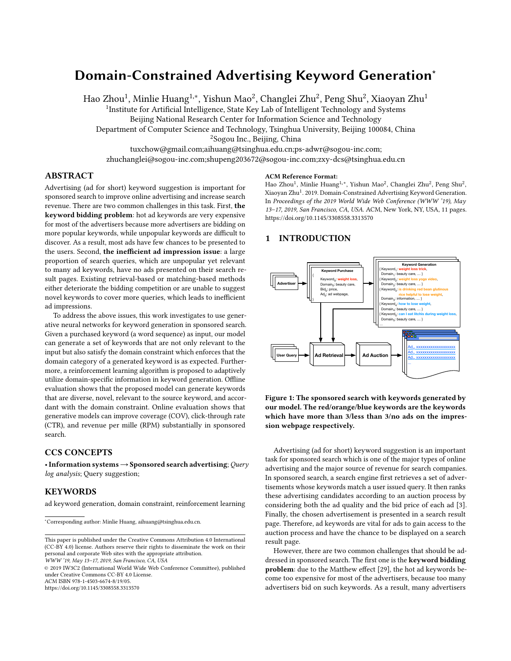# Domain-Constrained Advertising Keyword Generation<sup>®</sup>

Hao Zhou $^1$ , Minlie Huang $^{1,\ast}$ , Yishun Mao $^2$ , Changlei Zhu $^2$ , Peng Shu $^2$ , Xiaoyan Zhu $^1$ 

<sup>1</sup>Institute for Artificial Intelligence, State Key Lab of Intelligent Technology and Systems

Beijing National Research Center for Information Science and Technology

Department of Computer Science and Technology, Tsinghua University, Beijing 100084, China

<sup>2</sup>Sogou Inc., Beijing, China

tuxchow@gmail.com;aihuang@tsinghua.edu.cn;ps-adwr@sogou-inc.com;

zhuchanglei@sogou-inc.com;shupeng203672@sogou-inc.com;zxy-dcs@tsinghua.edu.cn

# ABSTRACT

Advertising (ad for short) keyword suggestion is important for sponsored search to improve online advertising and increase search revenue. There are two common challenges in this task. First, the keyword bidding problem: hot ad keywords are very expensive for most of the advertisers because more advertisers are bidding on more popular keywords, while unpopular keywords are difficult to discover. As a result, most ads have few chances to be presented to the users. Second, the inefficient ad impression issue: a large proportion of search queries, which are unpopular yet relevant to many ad keywords, have no ads presented on their search result pages. Existing retrieval-based or matching-based methods either deteriorate the bidding competition or are unable to suggest novel keywords to cover more queries, which leads to inefficient ad impressions.

To address the above issues, this work investigates to use generative neural networks for keyword generation in sponsored search. Given a purchased keyword (a word sequence) as input, our model can generate a set of keywords that are not only relevant to the input but also satisfy the domain constraint which enforces that the domain category of a generated keyword is as expected. Furthermore, a reinforcement learning algorithm is proposed to adaptively utilize domain-specific information in keyword generation. Offline evaluation shows that the proposed model can generate keywords that are diverse, novel, relevant to the source keyword, and accordant with the domain constraint. Online evaluation shows that generative models can improve coverage (COV), click-through rate (CTR), and revenue per mille (RPM) substantially in sponsored search.

# CCS CONCEPTS

•Information systems→Sponsored search advertising; Query log analysis; Query suggestion;

# **KEYWORDS**

ad keyword generation, domain constraint, reinforcement learning

WWW '19, May 13–17, 2019, San Francisco, CA, USA

© 2019 IW3C2 (International World Wide Web Conference Committee), published under Creative Commons CC-BY 4.0 License. ACM ISBN 978-1-4503-6674-8/19/05.

#### <https://doi.org/10.1145/3308558.3313570>

# ACM Reference Format:

Hao Zhou<sup>1</sup>, Minlie Huang<sup>1,</sup>\*, Yishun Mao<sup>2</sup>, Changlei Zhu<sup>2</sup>, Peng Shu<sup>2</sup>, Xiaoyan Zhu<br/> $^{1}$ .<br> 2019. Domain-Constrained Advertising Keyword Generation. In Proceedings of the 2019 World Wide Web Conference (WWW '19), May 13–17, 2019, San Francisco, CA, USA. ACM, New York, NY, USA, [11](#page-10-0) pages. <https://doi.org/10.1145/3308558.3313570>

## 1 INTRODUCTION

<span id="page-0-0"></span>

Figure 1: The sponsored search with keywords generated by our model. The red/orange/blue keywords are the keywords which have more than 3/less than 3/no ads on the impression webpage respectively.

Advertising (ad for short) keyword suggestion is an important task for sponsored search which is one of the major types of online advertising and the major source of revenue for search companies. In sponsored search, a search engine first retrieves a set of advertisements whose keywords match a user issued query. It then ranks these advertising candidates according to an auction process by considering both the ad quality and the bid price of each ad [\[3\]](#page-10-1). Finally, the chosen advertisement is presented in a search result page. Therefore, ad keywords are vital for ads to gain access to the auction process and have the chance to be displayed on a search result page.

However, there are two common challenges that should be addressed in sponsored search. The first one is the keyword bidding problem: due to the Matthew effect [\[29\]](#page-10-2), the hot ad keywords become too expensive for most of the advertisers, because too many advertisers bid on such keywords. As a result, many advertisers

<sup>∗</sup>Corresponding author: Minlie Huang, aihuang@tsinghua.edu.cn.

This paper is published under the Creative Commons Attribution 4.0 International (CC-BY 4.0) license. Authors reserve their rights to disseminate the work on their personal and corporate Web sites with the appropriate attribution.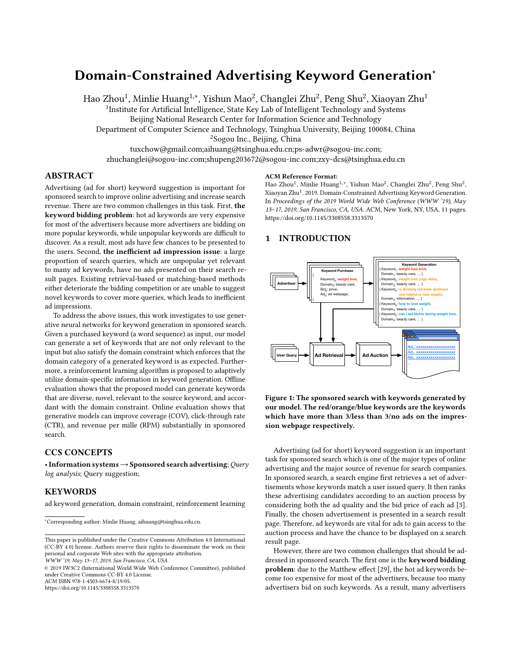cannot survive in the auction process to get their desired ad impressions. As reported in [\[43\]](#page-10-3), 55.3% advertisers have no ad impression, and 92.3% advertisers have no ad click at all, which is mainly caused by low bid price or improper keywords that they bid. The second issue is inefficient ad impressions: a substantial proportion of search queries, which are unpopular yet relevant to many ad keywords, have less competitive ads (46.6% search queries) even no ads (41.0% search queries) on their search result pages as reported in [\[43\]](#page-10-3). Because of the two reasons, the expectation of advertisers is not satisfied and the revenue of search engines is also not optimized.

To address these problems, several prior studies have been conducted in keyword generation or suggestion [\[2,](#page-10-4) [8,](#page-10-5) [13,](#page-10-6) [23,](#page-10-7) [30\]](#page-10-8). Most of these studies adopt matching methods based on the word cooccurrence between ad keywords [\[8\]](#page-10-5) and queries [\[13\]](#page-10-6). However, these methods tend to suggest popular keywords to advertisers, which will deteriorate the bidding competition. In addition, these approaches cannot suggest novel ad keywords which do not appear in the corpus.

Recently, deep learning technologies have been applied in many natural language tasks, such as machine translation [\[39\]](#page-10-9), ad keyword suggestion [\[15\]](#page-10-10), and query rewriting [\[18\]](#page-10-11). However, it's not trivial to adapt these neural networks to the ad keyword generation task, due to two major challenges. First, the generated ad keywords should be diversified and relevant to the original keywords to cover more user queries, which is not supported by existing neural models applied in keyword and query generation tasks. Second, the generated ad keywords should satisfy many constraints in sponsored search. For instance, to provide relevant yet unexplored ads for users, it is necessary to satisfy the domain constraint which means that the generated keywords should belong to the domain of the source keyword or several appropriate domains. For instance, a keyword in the health care domain should only match the keywords from the same domain to ensure the ad quality, while a keyword from the information domain could match those from various domains, such as entertainment and shopping, to cover diverse user queries.

In this paper, we investigate to use generative neural networks in the task of ad keyword generation. Given the purchased keyword as input, our generative model can suggest a set of keywords based on the semantics of the input keyword, as shown in Figure [1.](#page-0-0) The generated keywords are diverse and even completely novel (the blue keywords) from those in the dataset. This generative approach can address the aforementioned problems in two ways. First, our model is able to generate diverse, novel keywords, instead of merely suggesting the existing popular keywords in the dataset, which can recommend keywords for advertisers to alleviate the keyword bidding problem and retrieve ads by keyword reformulation for sponsored search engines to address the inefficient ad impression issue. Second, to improve the quality of the generated keywords, we incorporate the domain constraint in our model, which is a key factor considered in sponsored search to display ads. Through capturing the domain constraint, our model learns both semantic information and domain-specific information of ad keywords during training, and is consequently able to predict the proper domain category and generate the ad keyword based on the predicted category. In addition, our model uses reinforcement

learning to strengthen the domain constraint in the generation process, which further improve the domain correlation and the keyword quality.

To summarize, this paper makes the following contributions:

- This work investigates to use generative neural networks for keyword generation in sponsored search, which addresses the issues of keyword bidding and inefficient ad impressions.
- We present a novel model that incorporates the domain constraint in ad keyword generation. The model is able to predict a suitable domain category and generate an ad keyword correspondingly. A reinforcement learning algorithm is devised to adaptively utilize domain-specific information in keyword generation, which further improves the domain consistency and the keyword quality.
- We perform offline and online evaluation with the proposed model, and extensive results demonstrate that our model can generate diverse, novel, relevant, and domain-consistent keywords, and also improves the performance of sponsored search.

## 2 RELATED WORK

#### 2.1 Keyword Generation

A variety of methods has been proposed for generating and suggesting the keywords for advertisements, as ad keywords play a critical role in sponsored search. [Joshi and Motwani](#page-10-7) [\[23\]](#page-10-7) collected text-snippets from search engine given the keyword as input, and constructed them as a graph model to generate relevant keywords based on the similarity score. [Abhishek and Hosanagar](#page-10-4) [\[2\]](#page-10-4) further improved the graph model, which computes the similarity score based on the retrieved documents. [Chen et al.](#page-10-5) [\[8\]](#page-10-5) applied concept hierarchy to keyword generation, which suggests new keywords according to the concept information rather than the co-occurrence of the keywords itself. [Fuxman et al.](#page-10-6) [\[13\]](#page-10-6) made use of the queryclick graph to compute the keyword similarity for recommendation based on a random walk with absorbing states. [Ravi et al.](#page-10-12) [\[32\]](#page-10-12) introduced a generative approach, a monolingual statistical translation model, to generate bid phrases given the landing page, which performs significantly better than extraction-based methods. Recently due to the advances of deep learning, various neural network models have been applied to ad keyword suggestion. [Grbovic et al.](#page-10-10) [\[15\]](#page-10-10) proposed several neural language models to learn low-dimensional, distributed representations of search queries based on context and content of the ad queries within a search session. [Zhai et al.](#page-10-13) [\[41\]](#page-10-13) applied an attention network which is stacked on top of a recurrent neural network (RNN) and learns to assign attention scores to words within a sequence (either a query or an ad).

#### 2.2 Query Generation

Another related research topic is query generation, which is widely studied and applied in organic search. It improves user experience by either expanding (reformulating) a user's query to improve retrieval performance, or providing suggestions through guessing the user intention, according to the user's behaviour pattern (query suggestion). Some previous studies adopt query logs to generate queries by handcrafted features such as click-through data [\[11,](#page-10-14) [25,](#page-10-15) [35,](#page-10-16) [42\]](#page-10-17), session based co-occurrence [\[17,](#page-10-18) [20,](#page-10-19) [22\]](#page-10-20) or query similarity [\[4,](#page-10-21) [6,](#page-10-22) [12\]](#page-10-23).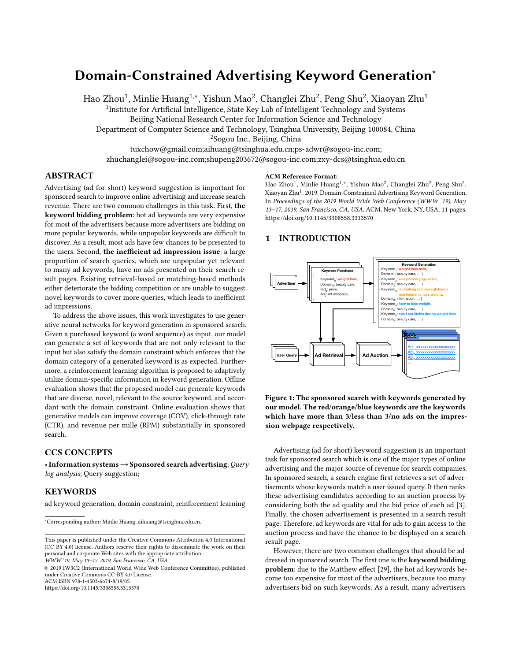Recently, artificial neural networks have been applied in query processing. A hierarchical recurrent encoder-decoder model [\[38\]](#page-10-24) is introduced to query suggestion. [He et al.](#page-10-11) [\[18\]](#page-10-11) proposed a learning to rewrite framework consisting of a candidate generating phase and a candidate ranking phase for query rewriting. [Song et al.](#page-10-25) [\[37\]](#page-10-25) use an RNN encoder-decoder to translate a natural language query into a keyword query. An attention based hierarchical neural query suggestion model that combines a session-level neural network and a user-level neural network to model the short- and long-term search history of a user is proposed by [Chen et al.](#page-10-26) [\[7\]](#page-10-26)

#### 2.3 Generative Neural Network

Recently, generative neural networks have been applied in many natural language tasks, such as machine translation [\[39\]](#page-10-9), dialogue generation [\[34\]](#page-10-27), and query rewriting [\[18\]](#page-10-11). [Sutskever et al.](#page-10-9) [\[39\]](#page-10-9) apply an end-to-end approach, a sequence to sequence (Seq2Seq) model, on machine translation tasks. [Shang et al.](#page-10-27) [\[34\]](#page-10-27) further introduce the Seq2Seq model to dialogue generation tasks with novel attention mechanisms. Although the Seq2Seq model is capable of generating a sequence with a certain meaning, it isn't suitable for diversified sequence generation as argued in [\[27\]](#page-10-28). Therefore, latent variable based models are proposed to address the diversity and uncertainty problem. [Serban et al.](#page-10-29) [\[33\]](#page-10-29) introduce latent variables to a hierarchical encoder-decoder neural network to explicitly model generative processes that possess multiple levels of variability. [Zhou and Wang](#page-10-30) [\[45\]](#page-10-30) propose several conditional variational autoencoders to use emojis to control the emotion of the generated text. [Zhao et al.](#page-10-31) [\[44\]](#page-10-31) use latent variables to learn a distribution over potential conversational intents based on conditional variational autoencoders, that is able to generate diverse responses using only greedy decoders.

#### 3 MODEL

## 3.1 Background: Encoder-Attention-Decoder Framework

We first introduce a general encoder-attention-decoder framework based on sequence-to-sequence (Seq2Seq) learning [\[39\]](#page-10-9), which is a widely used generative neural network. The encoder and decoder of the Seq2Seq model [\[39\]](#page-10-9) are implemented with GRU [\[9,](#page-10-32) [10\]](#page-10-33).

The encoder represents an input sequence  $X = x_1x_2 \cdots x_n$  with hidden representations  $H = h_1 h_2 \cdots h_n^1$  $H = h_1 h_2 \cdots h_n^1$  $H = h_1 h_2 \cdots h_n^1$  , which is briefly defined<br>as below: as below:

$$
h_t = \text{GRU}(h_{t-1}, e(x_t)), \tag{1}
$$

where  $e(X_t)$  is the embedding of the word  $X_t$ , and GRU is gated recurrent unit [9] recurrent unit [\[9\]](#page-10-32).

The decoder takes as input a context vector  $c_t$  and the embedding of a previously decoded word  $e(t_{-1})$ , and updates its state  $s_t$  using another GRU:

$$
s_t = \text{GRU}(s_{t-1}, [c_{t-1}; e(-t-1)]), \tag{2}
$$

where  $[c_{t-1}; e_{t-1}]$  is the concatenation of the two vectors, serv-<br>ing as input to the GRU petwork. The context vector  $C_t$  is designed ing as input to the GRU network. The context vector  $c_t$  is designed<br>to attend to the key information of the input sequence during deto attend to the key information of the input sequence during decoding, which is a weighted sum of the encoder's hidden states as

 $c_{t-1} = \begin{bmatrix} n & t-1 \\ k-1 & k \end{bmatrix}$ , and  $\begin{bmatrix} t-1 \\ k \end{bmatrix}$ <br>state  $S_{t-1}$  and hidden state  $h_k$ . measures the relevance between state  $s_{t-1}$  and hidden state  $h_k$ . Refer to [\[5\]](#page-10-34) for more details.<br>Once the state vector  $s_t$  is obtained, the decoder general

Once the state vector  $s_t$  is obtained, the decoder generates a<br>can by sampling from the generation distribution  $\alpha$ , computed token by sampling from the generation distribution  $o_t$  computed from the decoder's state  $S_t$  as follows:

$$
t \sim \mathbf{0}t = P(\begin{array}{ccc} t & 1, & 2, & \cdots, & t-1, & \mathbf{C}t \end{array}), \tag{3}
$$

$$
= \text{softmax}(W_0 s_t). \tag{4}
$$

#### <span id="page-2-2"></span>3.2 Task Definition and Overview



Figure 2: Overview of DCKG. The dashed arrow is used only in supervised training. The red arrow is used only in reinforcement learning. During reinforcement learning, DCKG infers a set of keyword samples and get their rewards from the reward estimator, which are used to further train our model to improve the quality of generated keywords.

Our problem is formulated as follows: Given a purchased ad keyword  $X = (x_1, x_2, \dots, x_n)$  $X = (x_1, x_2, \dots, x_n)$  $X = (x_1, x_2, \dots, x_n)$  (a word sequence)<sup>2</sup> and the correspond-<br>ing domain extency d<sub>raph</sub>ottained from a domain classifier the goal is ing domain category  $d_x$  obtained from a domain classifier, the goal is to predict a suitable target domain category  $d$  and generate a target keyword  $Y = (1, 2, \dots, m)$  (a word sequence) that is coherent with the domain category  $d$  . Essentially, the model estimates the probability:  $P(Y, d | X, d_X) = P(d | X, d_X) \bigcap_{t=1}^n P(t | t | <_t, d, X, d_X)$ .<br>The domain categories are adopted from the sponsored search en-The domain categories are adopted from the sponsored search engine, which consists of  $k$  domain categories, such as *beauty care*, shopping, and entertainment.

Building upon the encoder-attention-decoder framework, we propose the Domain-Constrained Keyword Generator (DCKG) to generate diversified keywords with domain constraints using three mechanisms. First, DCKG incorporates a latent variable sampled from a multivariate Gaussian distribution to generate diversified keywords. Second, a domain constraint network is proposed to

<span id="page-2-0"></span><sup>&</sup>lt;sup>1</sup>Throughout the paper, a bold character (e.g.,  $h$ ) denotes the vector representation of a variable (h).

<span id="page-2-1"></span> $2$ Throughout the paper, a keyword refers to a word sequence, but not a single word.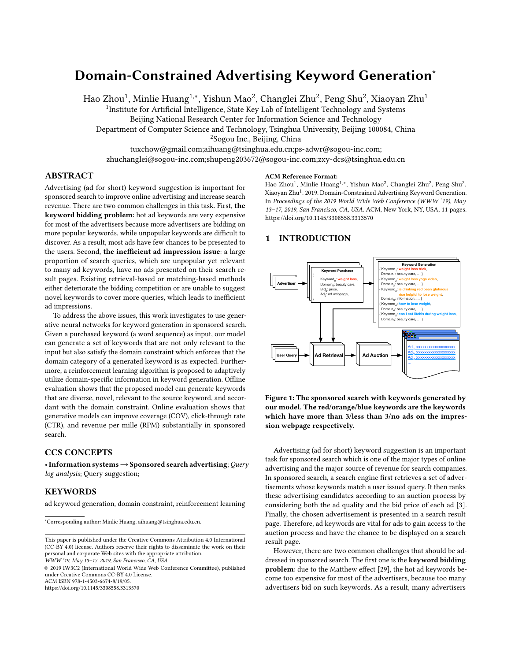facilitate generating domain-consistent keywords, which imposes more probability bias to domain-specific words. Third, DCKG further optimizes the decoder to adjust the word generation distribution with reinforcement learning.

An overview of DCKG is presented in Figure [2,](#page-2-2) which illustrates the dataflow of DCKG in supervised learning, reinforcement learning, and inference processes. In supervised learning, the source keyword  $X = (x_1, x_2, \dots, x_n)$  and the target keyword  $Y = (1, 2, \dots, m)$  are fed to the encoder to generate the hidden representations  $h_{\lambda}^{n}$  and  $h^{m}$ , meanwhile, they are fed to the domain alocation their domain actororise  $d_{\lambda}$  and  $d_{\lambda}$  reprectively classifier to obtain their domain categories  $d_X$  and  $d_Y$  respectively.<br>The domain categories are further converted to the domain embed-The domain categories are further converted to the domain embeddings  $e(d_x)$  and  $e(d_x)$  to encode the domain-specific information in DCKG. Then, the latent variable z is sampled from a multivariate Gaussian distribution, which is determined by a recognition network that takes the hidden representations and the domain embeddings as input. Given the latent variable z, the hidden representation of source keyword  $h_X^{\eta}$ , and the domain embedding  $e(d_X)$ ,<br>DCKG predicts the target keyword category d', and generate the DCKG predicts the target keyword category  $d'$  and generate the decodernic specific word score  $D(x + e(d'))$ . Einelly, the decodern domain-specific word score  $D(t | e(d'))$ . Finally, the decoder<br>takes as input the context yester  $C_t$  generated by ettertion mashes takes as input the context vector  $c_t$  generated by attention mechanism, the latent variable z, and the domain-conditioned word score  $D(t \mid \mathbf{e}(d'))$  to generate the target keyword Y.<br>During the information process. DCKC has the

During the inference process, DCKG has the input of only the source keyword  $X = (x_1, x_2, \dots, x_n)$  to generate a target keyword, conditioned on the latent variable sampled from a prior network which is approximated by the recognition network during supervised training.

During the reinforcement learning process, DCKG first infers a set of keyword samples. Then, these samples are fed to the reward estimator to get their rewards, considering both domain-specific and semantic information. Finally, these rewards are applied to train our model using reinforcement learning to further improve the quality of generated keywords.

## 3.3 Supervised Learning

We will concentrate on introducing the latent variable network, the domain constraint network, and the decoder network, as shown in Figure [3.](#page-3-0) The domain classifier is adopted from the sponsored search engine with parameters fixed during training. It generates a one-hot domain category distribution  $d<sub>x</sub>$  for a keyword. A category is converted to a domain category embedding as follows:

<span id="page-3-1"></span>
$$
e(d_X) = V_d d_X, \tag{5}
$$

where  $\bm{\mathsf{V}}_\textbf{d}$  is a random initialized domain category embedding matrix which will be learned automatically.

3.3.1 Latent Variable Network. Building upon the encoder-attentiondecoder framework, our model introduces a latent variable to project ad keywords to a latent space. By this means, the model can generate diversified keywords conditioned on different latent variable sampled from the latent space. Specifically, we adopt the conditional variational autoencoder (CVAE) [\[36\]](#page-10-35) as the latent variable network, which is successfully applied in language generation tasks [\[44,](#page-10-31) [45\]](#page-10-30).

DCKG assumes the latent variable z follows a multivariate Gaussian distribution,  $Z \sim N(\mu^{2})$ ). The latent variable network con-<br>siste of a prior network and a recognition network to model the sists of a prior network and a recognition network to model the

<span id="page-3-0"></span>

Figure 3: Computation flow of DCKG. The dashed arrow is used only in supervised learning to model the posterior distribution. During the inference process, the latent variable z is sampled from the prior distribution, and then fed to the domain constraint network and to the decoder. In the domain constraint network, the latent variable is used to predict the domain category distribution to obtain the target domain category d ′ , which is then used to compute the domain-specific score. In the decoder, the latent variable is used to compute the language model score. Finally, the language model score and the domain-specific score are combined to estimate the distribution for word generation.

semantic and domain-specific information of ad keyword in the latent space.

In the training process, the recognition network takes as input the semantic representations  $h_{\lambda}^{n}$ ,  $h^{n}$  and the domain embed-<br>dings  $\rho(d_{\lambda})$  of the source learned X and the terms lear dings  $e(d_X)$ ,  $e(d)$  of the source keyword X and the target key-<br>word X to approximate the true posterior distribution as  $a$  (z) word Y, to approximate the true posterior distribution, as  $q$  (z |  $h_X^{\eta}, e(d_X), h^{\eta\eta}, e(d)) \sim \mathcal{N}(\mu, \epsilon^2 I).$ <br>In the inference process, the p

In the inference process, the prior network takes only the semantic representation  $h_X^{\eta}$  and the domain embedding  $e(d_X)$  of the source keyword **X** as input to sample latent variables from the prior source keyword **X** as input, to sample latent variables from the prior distribution  $P_1(z | h^T \rho(d_1)) \geq N(U' - \frac{r^2}{2})$ . The prior (posterior distribution,  $p(z | h_n^T, e(d_x)) \sim N(\mu', \nu'^2)$ . The prior/posterior distribution can be parameterized by neural networks such as a distribution can be parameterized by neural networks such as a multilayer perceptron (MLP) as follows:

$$
I, \quad {}^{2} = \text{MLP}(h_{X}^{n}, e(d_{X}), h^{m}, e(d)), \quad (6)
$$

$$
\mu', \quad '^2 = \text{MLP}(h''_X, e(d_X)), \quad (7)
$$

To alleviate the inconsistency between the prior distribution and the posterior distribution, we add the KL divergence term to the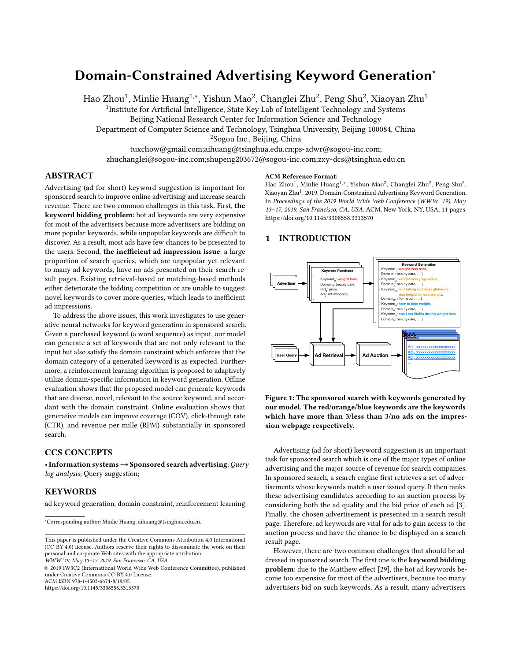loss function as follows:

$$
\mathcal{L}_1 = KL(q \ (z \mid h_X^n, e(d_X), h^m, e(d)) \parallel p \ (z \mid h_X^n, e(d_X))) \tag{8}
$$

3.3.2 Domain Constraint Network. The domain constraint network is designed to model the domain-specific information of ad keyword. The output of the network is further incorporated into the process of keyword generation to improve the quality of generated keywords in sponsored search. It plays two roles in our model: first, predicting an appropriate domain category given a latent variable; second, endowing the generated keyword with the target domain features.

Essentially, it predicts a domain category distribution conditioned on the latent variable sampled from a multivariate Gaussian distribution. Once the domain category distribution is determined, we can sample a target domain category by an argmax operation. However, argmax operation is non-differentiable and the training signal cannot be backpropagated. Inspired by the Gumbel-Max trick [\[16,](#page-10-36) [28\]](#page-10-37), we adopt Gumbel-Softmax [\[19\]](#page-10-38) as a differentiable substitute to generate a sample from the domain category distribution, which is defined as follows:

<span id="page-4-0"></span>
$$
\sim \quad \mathsf{U}(0,1),\tag{9}
$$

$$
= -\log(-\log(9)), \tag{10}
$$

$$
o_d = U_d \text{ MLP}(h_X^n, e(d_X), z), \quad (11)
$$

$$
P_{real}(d' | h_n^{\prime\prime}, e(d_X), z) = \text{softmax}(o_d), \qquad (12)
$$

$$
P_{sample}(d' | h_X^n, e(d_X), z) = \text{softmax}((o_d + \cdot) / ) \quad (13)
$$

where is a sample from the uniform distribution  $U(0, 1)$ , is a sample from the Gumbel distribution  $Gumbel(0, 1)$ ,  $Q$ , is the logits sample from the Gumbel distribution **Gumbel**(0, 1),  $\sigma_d$  is the logits<br>computed by a MLP and a projection matrix  $\Pi_c \subset \mathbb{R}^{k \times n}$ ,  $\rho_c$  (d' computed by a MLP and a projection matrix  $U_d \in R^{k \times n}$ ;  $P_{real}(d'$ <br>  $h^n_{d}(d_n)$ , z) is the real distribution of the prodicted domain est |  $\lim_{x \to a} \frac{\partial(x, y, z)}{\partial y}$  used in the inference process,  $P_{sample}(d' | h_x^0, e(d_x), z)$  is a the sample distribution used in the training process and is a  $n_X^P$ ,  $e(d_X)$ ,  $Z$ ) is the real distribution of the predicted domain cate-<br>ory used in the inference process  $P$  (d'  $\mid h^P$ ,  $e(d_X)$ ,  $Z$ ) is the sample distribution used in the training process, and is a temperature used to adjust the shape of the sample distribution, which is annealed during training.

In supervised learning, we use the ground-truth domain category d of a keyword as the supervision signal in the loss function, such that the domain constraint network can predict the target domain category as expected, which is defined as follows:

$$
\mathcal{L}_2 = -\mathsf{E}_{q} \left( z \mid h_x^n e(d_x); h^m; e(d) \left[ \log P_{real}(d' \mid h_x^n, e(d_x), z) \right] \right)
$$
 (14)

Another task of the domain constraint network is to compute the domain-specific score of a generated word from the domain category distribution. The domain-specific score is added to the word generation distribution in the decoder to endow a generated keyword with desirable domain-specific features. When the target domain category distribution is obtained, the target domain embedding can be computed as follows:

$$
e(d') = V_d P(d' | h_X^n, e(d_X), z), \qquad (15)
$$

where  $\mathsf{V}_{\mathsf{d}}$  is the domain category embedding matrix as introduced in Eq. [5.](#page-3-1) Subsequently, taking the target domain embedding as input, the domain word score is generated as follows:

$$
D(t | e(d')) = W_d MLP(e(d'))
$$
, (16)

where  $D(t | e(d'))$  is the domain-specific score of a generated<br>word, which models the domain-specific features of a target level word, which models the domain-specific features of a target keyword,  $W_d$  is the domain word embedding matrix.

3.3.3 Decoder Network. The decoder of DCKG incorporates the latent variable and the domain word score to generate an ad keyword. Taking as input the latent variable z and the context vector ct the semantic information in a keyword, is generated as follows:  $c_t$ , the language model score of a generated word, which captures

$$
s_t = \text{GRU}(s_{t-1}, [c_{t-1}; z; e_{t-1})]), \quad (17)
$$

$$
S(t \mid <_{t}, c_{t}, z) = W_{S} s_{t}, \qquad (18)
$$

where  $S(t \mid <_t, c_t, z)$  is the language model score and  $W_s$  is the semantic word embedding matrix semantic word embedding matrix.

Finally, the decoder combines the language model score and the domain-specific score with a factor and then normalizes the result to the word generation distribution, which is defined as follows:

$$
P(t|t < t, c_t, z, e(d')) = \text{softmax}(S(t|t < t, c_t, z) + D(t|e(d'))),
$$
\n(19)

where is a domain constraint factor that controls the influence of the domain-specific information in the final word generation distribution, and is fixed to 1.0 during supervised training. The generation loss of the decoder is given as below:

$$
\mathcal{L}_3 = -\mathsf{E}_q \left( \mathsf{z} | h_x^n e(d_x) ; h^m : e(d) \right) \left[ \log P(\mathsf{t} \mid \n(20)
$$

3.3.4 Loss Function. The final loss to be minimized in supervised learning is the combination of the KL divergence term  $\mathcal{L}_1$ , the domain prediction loss  $\mathcal{L}_2$ , and the generation loss  $\mathcal{L}_3$ :

$$
\mathcal{L} = \max(\ ,\mathcal{L}_1) + \mathcal{L}_2 + \mathcal{L}_3,\tag{21}
$$

where the max operation and the factor are used to balance the KL divergence term and other loss function for better optimization, which is known as the free bits method in [\[24\]](#page-10-39).

## 3.4 Reinforcement Learning

One major disadvantage of DCKG described above is the domain constraint factor is fixed for all the keywords in any domain. However, the optimal factor should be determined by the semantic and domain-specific information of a keyword dynamically. A lower value leads to keywords containing less domain-specific features, while a higher value results in keywords that are less fluent or relevant but contain more domain-specific features, as shown in Section [4.4.](#page-6-0) Therefore, we propose a reinforcement learning algorithm that is able to learn different values for different keywords.

3.4.1 Policy Network. To explore suitable values for different keywords, we first define a value space  $B$  which contains feasible values. The main idea is to choose the best value by a policy network to achieve the maximum reward with respect to the evaluation metrics, which can be implemented in three steps: first, generate a set of keywords with different values sampled from  $B$ , given the same source keyword and latent variable; second, obtain the reward of each keyword using the reward estimator; third, update the policy network to choose the value that leads to a maximum reward. The policy network  $( | X, z)$ , parameterized by , is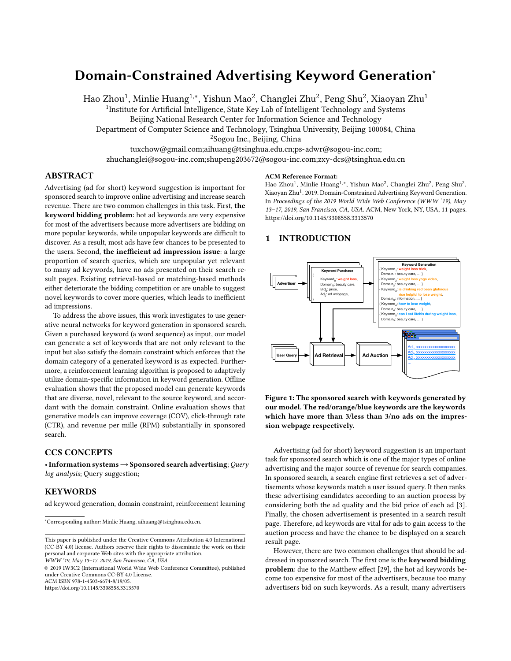formally given below:

$$
\mathbf{0}_b = [\mathbf{h}_x^0; \mathbf{e}(d_x); \mathbf{z}; \mathbf{e}(d')], \tag{22}
$$

$$
(\mid X, z) = \text{softmax}(W_b \, \text{MLP}(o_b)), \tag{23}
$$

where  $W_b \in R^{b \times n}$  is a matrix projecting the input vector  $o_b$  to the action space  $\mathcal{B}$ action space B.

We use the REINFORCE algorithm [\[40\]](#page-10-40), a policy gradient method, to optimize the parameters by maximizing the expected reward of a generated keyword as follows:

$$
\mathcal{J}(\ ) = \mathbb{E} \quad , \quad (\ |X; z) [R(X, z, )], \tag{24}
$$

where  $R(X, z, \cdot)$  is the normalized reward of a generated keyword. It is noteworthy that the policy network cannot be optimized through supervised learning, as the ground-truth value is not observable.

3.4.2 Reward Estimator. The reward estimator is designed to provide a reward balancing the domain-specific information and the semantic information for a generated keyword. To estimate the reward, given the source keyword  $X$ , the latent variable  $Z$ , and the target domain category  $d'$  as the same input, we first sample a set of  $l$  reduce  $l$  and infor a set of learn order samples of values  $\{1, 2, \dots, k\}$ , and infer a set of keyword samples<br>  $\{V_1, V_2, \dots, V_k\}$  based on different samples using the proposed  ${Y_1, Y_2, \dots, Y_k}$  based on different samples using the proposed<br>model. Then, we use the domain classifier to predict the domain model. Then, we use the domain classifier to predict the domain category  $d_i$  of each keyword  $Y_i$ . The agreement between d' and  $d_i$  is treated as an evaluation metric of the domain-specific<br>information, which is defined as follows: information, which is defined as follows:

$$
i = \begin{cases} 1, & \text{if } d' = d \\ 0, & \text{if } d' \neq d \end{cases}
$$
 (25)

Subsequently, we use the generation probabilities computed by a language model and DCKG as an evaluation metric of the semantic information. Finally, the min-max normalization is applied to rescale the rewards  $\{r_1, r_2, \cdots, r_k\}$  for each *i* and  $Y_i$ . This process is defined as followe: is defined as follows:

<span id="page-5-1"></span>
$$
r_i = i\left(\begin{array}{cc} P_{LM}(Y_i) + (1 - )P_{DCKG}(Y_i)\end{array}\right), \quad (26)
$$

$$
R_i(X, z, i) = \frac{r_i - \min(\{r_i\})}{\max(\{r_i\}) - \min(\{r_i\})},
$$
\n(27)

where  $r_i$  is the reward for each  $i_j$  and  $Y_i$ ,  $i_j$  is the domain category agreement,  $P_{LM}$  and  $P_{DCKG}$  are the generation probabilities modeled by a language model and our DCKG respectively,  $\in (0, 1)$  is a weight to balance these two generation probabilities.

And the gradient is approximated using the likelihood ratio trick [\[14\]](#page-10-41) as:

$$
\nabla \mathcal{J}(\ ) = R(X, z, \ ) \nabla \log \quad ( | X, z), \tag{28}
$$

This RL component encourages the model to choose for each keyword an optimal factor that will lead to both higher domain category agreement and generation quality. Through reinforcement learning, we can further improve the quality of keywords generated by DCKG, resulting in more relevant, fluent, and domain-specific keywords.

## 4 EXPERIMENTS

### 4.1 Dataset

We sampled about 40 million query logs from Sogou.com, and each sample consists of a < ad keyword, user query> pair. When the search

<span id="page-5-0"></span>

| Pairs      |            | Details | Keywords  | Queries    |
|------------|------------|---------|-----------|------------|
| Training   | 43,756,585 | Number  | 4,419,555 | 19,203,972 |
|            |            | Length  | 3.96      | 5.40       |
| Validation | 10,000     | Number  | 9.504     | 9.997      |
|            |            | Length  | 3.73      | 5.21       |
| Test       | 10,000     | Number  | 9.474     | 9,996      |
|            |            | Length  | 3.74      | 5.21       |

Table 1: Statistics of the dataset.

engine retrieves ads based on their owners' purchased keywords, the ad keyword must be relevant to the user query. Therefore, we treat user queries as target keywords to train our model. In other words, the input to our model is a purchased ad keyword  $(X)$ , and the expected output is a user query  $(Y)$ . We randomly sampled 10,000 pairs for validation and test. The statistics are presented in Table [1.](#page-5-0)

### 4.2 Implementation Details

Our model was implemented with Tensorflow [\[1\]](#page-10-42). The encoder and decoder do not share parameters and each has 4-layer GRU networks with 1024 hidden neurons in each layer. The word embedding size is set to 1,024. The vocabulary size is limited to 40,000. The MLP is implemented as a one-layer linear transformation with a tanh activation function. The parameters of the MLP and the embedding matrix share the same hidden size  $n = 1,024$ . All the parameters and embeddings are randomly initialized and tuned during end-to-end training.

We adopted top  $k = 25$  frequent domain categories produced by the domain classifier, which is a key component used in the sponsored search engine. The domain classifier is a support vector machine [\[21\]](#page-10-43) trained on a large human-labeled corpus. The accuracy of the 25-class classification is 92.65%. The temperature is set to 3.0 at the beginning, and is annealed to 0.1 during supervised learning. The factor is set to 5.0. The value space  $B$  consists of  $b = 21$  values in the range [0, 5] with an interval of 0.25. The generation probability factor is set to 0.9.

Our model is trained in two stages: supervised learning is first used to model the semantic information and the domain-specific information of keywords; reinforcement learning is then used to adaptively utilize domain-specific information in the generation process. We used the Adam optimizer with a mini-batch size of 100. The learning rate is 0.0001 for supervised learning and 0.00001 for reinforcement learning. The models were run at most 10 epochs for supervised learning and 2 epochs for reinforcement learning. The training process of each model took about a week on a Tesla V100 GPU machine.

#### 4.3 Baselines

As aforementioned, this paper is the first work to address the domain constraint factor in ad keyword generation. We did not find closely-related baselines in the literature.

Although retrieval-based approaches proposed in previous studies are able to recommend relevant keywords from the dataset, these methods cannot generate novel keywords and thus deteriorate the bidding competition problem. Furthermore, as the dataset consists of < ad keyword, user query> pairs, retrieval-based methods can only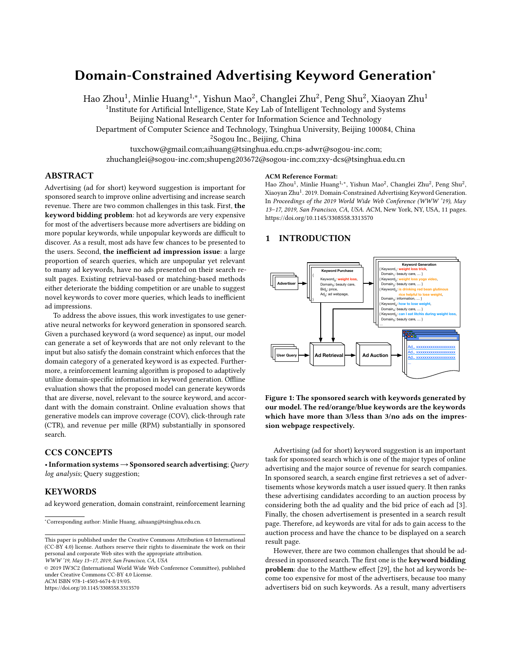<span id="page-6-3"></span>

| Model                          | Perplexity |       | Perplexity $M$ |       | Accuracy |         | Distinct-2 |            | Distinct-3 |         | Distinct-4 |            |
|--------------------------------|------------|-------|----------------|-------|----------|---------|------------|------------|------------|---------|------------|------------|
|                                | avg.       | std.  | avg.           | std.  | avg.(%)  | std.(%) | avg.(%)    | $std.(\%)$ | avg.(%)    | std.(%) | avg.(%)    | $std.(\%)$ |
| Seq2Seq                        | 18.82      | 0.033 | 12.26          | 0.022 | 76.84    | 0.054   | 39.09      | 0.028      | 46.78      | 0.033   | 53.02      | 0.041      |
| <b>CVAE</b>                    | 10.76      | 0.021 | 8.24           | 0.023 | 77.40    | 0.057   | 69.58      | 0.051      | 83.04      | 0.060   | 90.32      | 0.065      |
| <b>DCKG</b>                    | 11.21      | 0.025 | 8.94           | 0.034 | 84.61    | 0.080   | 71.07      | 0.077      | 84.26      | 0.065   | 91.26      | 0.051      |
| Table 2: Automatic evaluation. |            |       |                |       |          |         |            |            |            |         |            |            |

<span id="page-6-4"></span>

| Model       | Novelty $ALL$ -2 |       | Novelty $_{ALL}$ -3 |       | Novelty $A/L^{-4}$ |         | Novelty $AD-2$ |         | Novelty $AD-3$ |         | Novelty $AD-4$ |         |
|-------------|------------------|-------|---------------------|-------|--------------------|---------|----------------|---------|----------------|---------|----------------|---------|
|             | avg.             | std.  | avg.                | std.  | avg.(%)            | std.(%) | avg.(%)        | std.(%) | avg.(%)        | std.(%) | avg.(%)        | std.(%) |
| Seq2Seq     | 0.54             | 0.005 | 5.33                | 0.015 | 15.53              | 0.020   | 2.65           | 0.010   | 12.40          | 0.026   | 24.73          | 0.019   |
| <b>CVAE</b> | 2.01             | 0.016 | 16.03               | 0.058 | 38.38              | 0.119   | 8.18           | 0.024   | 33.49          | 0.085   | 57.64          | 0.099   |
| DCKG        | 2.60             | 0.021 | 18.23               | 0.056 | 41.48              | 0.114   | 9.34           | 0.035   | 36.01          | 0.095   | 60.40          | 0.106   |
|             |                  |       |                     |       |                    |         |                |         |                |         |                |         |

Table 3: Novelty evaluation.

suggest keywords which are already covered by the search engine. Consequently, the coverage and revenue of the search engine cannot be improved more than those methods which can generate novel keywords. Due to these reasons, we didn't consider retrieval-based methods as our baselines.

Nevertheless, we chose two suitable generative models as our baselines:

- A modified Seq2Seq model [\[39\]](#page-10-9). First, the target domain category is predicted by the domain constraint network and is embedded into a category vector. Then, the vector serves as input to each decoding position.
- A modified CVAE model [\[36\]](#page-10-35) considering the domain constraint information, which is implemented similarly to DCKG but without reinforcement learning.

# <span id="page-6-0"></span>4.4 Automatic Evaluation

We evaluated the quality of keywords generated by different models using several automatic metrics. To evaluate the performance in metrics except for perplexity $^3$  $^3$ , we generated 10 keywords for each purchased ad keyword using different models (for DCKG and CVAE, keywords were generated conditioned on 10 sampled latent variables using greedy search; for Seq2Seq, keywords were inferred using beam search with  $beamsize = 10$ ). Due to the uncertainty caused by the latent variable in our model and the CVAE baseline, we repeatedly tested all the models for 10 times. The averaged performance, the standard deviation, and the significance test results were reported for these models  $4$ . The bold number indicates the best performing model, which outperforms all other models significantly (2-tailed t-test,  $p -$  alue < 0.01).

#### 4.4.1 Metrics.

- Perplexity: We adopted perplexity to evaluate the generation quality with respect to grammar and fluency. The perplexity here is computed by the generation distribution in the models themselves.
- Perplexity<sub>/M</sub>: We trained a language model on our dataset, and used this language model to calculate the perplexity of keywords generated by different models.
- Accuracy: To evaluate whether the model can generate domainconstrained keywords, we adopted the domain accuracy as the agreement between the expected domain category (as predicted by the model, see Eq. [12\)](#page-4-0) and the domain category of a generated keyword predicted by the domain classifier.
- Distinct- $n$ : We calculated the proportion of distinct  $n$ -grams to all the n-grams in generated keywords to evaluate the diversity.
- Novelty $ALL/AD$ -n: To evaluate the novelty of the generated keywords, we counted the distinct n-grams that don't appear in all the corpus (ALL) or not in the purchased ad keyword set (AD). Novelty $A_{LL}$ -n means the percentage of totally novel n-grams that have not been observed in the corpus.

4.4.2 Results. The results are shown in Table [2](#page-6-3) and Table [3,](#page-6-4) from which we made the following observations:

First, DCKG obtains the best performance in domain accuracy, distinct, and novelty. The improvement in domain accuracy shows that our model can enhance the domain consistency of the generated keywords, thanks to the reward we applied in reinforcement learning. DCKG can generate more diverse and novel keywords than baselines, which can be attributed to the latent variable network we adopted and the domain constraint we considered. Our model has better perplexity and perplexity $LM$  than Seq2Seq but slightly worse than CVAE, because DCKG is tuned to satisfy the domain constraint more by reinforcement learning than fit to the language generation probability. Nevertheless, the disadvantage in perplexity and perplexity $LM$  harms the grammaticality of the generated keywords but less influences the overall performance, as shown in the following experiments.

Second, the novelty scores indicate that our model can generate more novel n-grams than the baselines. The generative models can generate novel keywords which have not been purchased yet so that the bidding competition problem can be alleviated as aforementioned. For retrieval-based methods, the Novelty $ALL$  scores, which count  $n$ -grams that are never observed in the corpus, will be zero since they can only suggest existing keywords from the corpus.

4.4.3  $E$  ect of . In order to investigate the influence of the domain constraint factor in DCKG, we tested the performance of DCKG with different fixed  $\in \mathcal{B}$ . The results are shown in Figure [4.](#page-7-0) As we can see, the domain accuracy of DCKG improves continuously with the increase of (the green curve), indicating that

<span id="page-6-1"></span> ${}^{3}\mathrm{We}$  generated the ground-truth target keyword using greedy search for calculating the perplexity.

<span id="page-6-2"></span><sup>&</sup>lt;sup>4</sup>For the deterministic Seq2Seq model, we tested 10 models which achieve the top 10 performance in the validation set. These models differ in different training steps.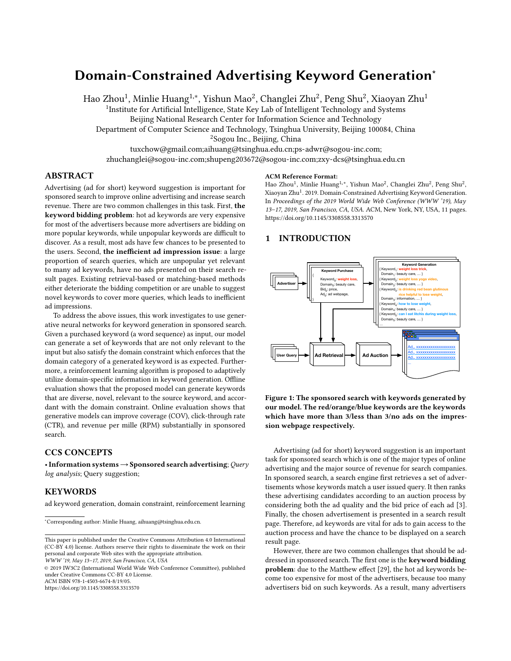<span id="page-7-0"></span>

Figure 4: Performance curve with varying . The dashed curve is the performance of DCKG with manually fixed in different metrics. The bold curves (perplexity, perplexity $LM$ , accuracy) show the change of rewards which are used reinforcement learning (see Eq. [26\)](#page-5-1). The horizontal line is the performance of DCKG with dynamic tuned by RL. The dashed vertical line is an auxiliary line to compare DCKG with fixed  $= 1.5$  to DCKG with dynamic optimized by RL. Left axis: Perplexity and Perplexity<sub>LM</sub>. Right axis: Accuracy, Distinct-4, Novelty $_{ALL}$ -4, and Novelty $_{AD}$ -4.

is critical to satisfying the domain constraint in keyword generation because larger applies more domain-specific information in keyword generation. DCKG achieves the best performance in perplexity and perplexity<sub>LM</sub> with = 1 since this value is the default value during supervised learning. However, when becomes larger, DCKG performs worse in the perplexity metrics. It is thus important to balance the domain constraint and the language generation quality. Therefore, we apply reinforcement learning to find an optimal for different instances dynamically.

It is noteworthy that DCKG with the dynamically determined outperforms DCKG with the manually adjusted . For example, although the performance of DCKG in perplexity and perplexity  $\mu$ is approximately equal to DCKG with the fixed  $= 1.5$ , the domain accuracy of DCKG outperforms DCKG with the fixed  $= 1.5$ accuracy of DCKG outperforms DCKG with the fixed (84.61 vs. 82.49). Moreover, the novelty score and the diversity score of DCKG are also better than DCKG with the fixed  $= 1.5$ , for instance, the Distinct-4 of DCKG is better than DCKG with any fixed  $\in \mathcal{B}$  (91.26 vs. 91.20), indicating that the domain constraint can further improve the quality of generated keywords.

#### 4.5 Manual Evaluation

In manual evaluation, we tested whether the generated keywords are relevant to the source keyword and consistent with the expected domains, such that they are suitable to be suggested to advertisers. We manually evaluated the relevance and the grammaticality of keywords generated by different models. We randomly sampled 100 purchased ad keywords from the test set, and generated 10 keywords for each purchased ad keyword using different models

as in automatic evaluation. Five experienced annotators were recruited to judge the relevance (Relevant/Irrelevant) of 3000 pairs of generated and purchased keywords. The grammaticality of a generated keyword is also considered during annotation, as bad grammaticality leads to the ambiguity in the meaning and thus results in irrelevance rating. We used majority voting to obtain the final label of annotation. Moreover, as domain accuracy is critical to measuring how well the models satisfy domain constraint, we also reported the automatic measure in these tables. The bold number indicates the best performing model, which outperforms all other models significantly (2-tailed sign test,  $p - \alpha l \le 0.05$ ).

#### 4.5.1 Metrics.

- Precision (P): Precision is defined as the ratio of the number of relevant keywords generated to the number of total keywords generated.
- Recall (R): Recall is the proportion of relevant keywords generated by a model to all the relevant keywords pooled from all models' results. Similar to [\[23\]](#page-10-7), the relevant keywords from all the models are pooled together and are treated as the entire relevant set. This metric is useful to compare the ability to cover the potential relevant keywords.
- Accuracy (A): Similar to the preceding section, this metric is the agreement between the expected domain category, predicted by the model, and the domain category of a generated keyword, predicted by the domain classifier (SVM).
- F-measures: We adopted four F-measures to quantify the overall performance including F(PR), F(PA), F(RA), and F(PRA). Each F-measure is defined as the harmonic mean of all factors, where P/R/A indicate precision/recall/accuracy respectively.

<span id="page-7-1"></span>

| Model           | Seq2Seq | <b>CVAE</b> | <b>DCKG</b> |
|-----------------|---------|-------------|-------------|
| Precision       | 0.948   | 0.954       | 0.970       |
| Recall          | 0.325   | 0.332       | 0.343       |
| Accuracy        | 0.761   | 0.774       | 0.847       |
| F(PR)           | 0.483   | 0.491       | 0.503       |
| F(PA)           | 0.808   | 0.832       | 0.892       |
| F(RA)           | 0.440   | 0.454       | 0.480       |
| $F(\text{PRA})$ | 0.534   | 0.548       | 0.574       |

Table 4: Manual evaluation.

4.5.2 Annotation Statistics. We calculated the statistics to measure inter-rater agreement. For relevance rating, the percentage of the pairs that all 5 judges gave the same label is 85.1%, the percentage of the pairs that 4 judges gave the same label (4/5 agreement) amounts to 8.8%, and the percentage for 3/5 agreement is 6.1%. We further computed the free-marginal kappa [\[31\]](#page-10-44) to measure inter-rater consistency. The free-marginal kappa is 0.856, indicating adequate inter-rater agreement.

4.5.3 Results. The results are shown in Table [4.](#page-7-1) As it can be seen, DCKG obtains the best performance in all the metrics, indicating that our model can generate relevant and grammatical keywords. The best precision shows that more relevant keywords are generated by DCKG. Our model also achieves the best recall, indicating that DCKG is able to cover more potential user queries than other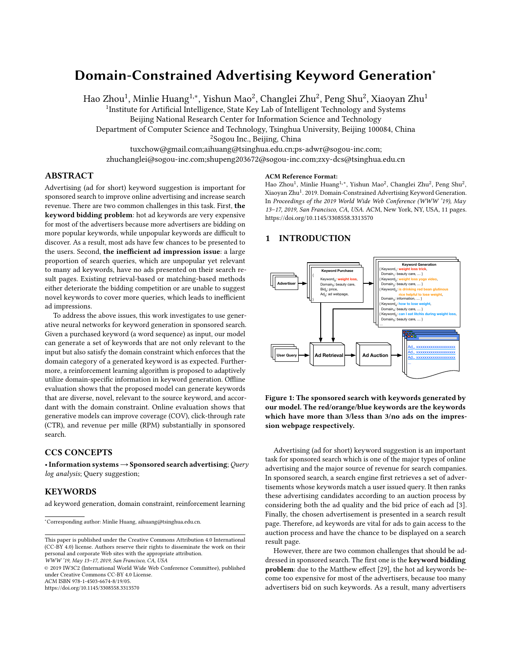<span id="page-8-0"></span>

| Day  | Seq2Seq   |           |           |           | <b>CVAE</b> |           |           | <b>DCKG</b> |           |
|------|-----------|-----------|-----------|-----------|-------------|-----------|-----------|-------------|-----------|
|      | $COV(\%)$ | $CTR(\%)$ | $RPM(\%)$ | $COV(\%)$ | $CTR(\%)$   | $RPM(\%)$ | $COV(\%)$ | $CTR(\%)$   | $RPM(\%)$ |
|      | 39.51     | 44.92     | 21.96     | 53.64     | 59.14       | 24.86     | 58.52     | 63.26       | 30.52     |
| 2    | 44.30     | 49.99     | 24.99     | 58.22     | 60.38       | 28.49     | 55.16     | 60.88       | 33.49     |
| 3    | 46.38     | 50.02     | 22.52     | 51.53     | 54.04       | 30.30     | 58.07     | 58.78       | 28.24     |
| 4    | 47.32     | 46.22     | 16.78     | 51.12     | 57.54       | 34.64     | 58.24     | 61.68       | 28.23     |
| 5    | 46.41     | 50.25     | 20.56     | 49.82     | 52.58       | 21.72     | 59.40     | 60.85       | 33.78     |
| 6    | 45.27     | 47.06     | 17.36     | 51.61     | 51.53       | 24.95     | 55.20     | 58.17       | 21.68     |
| 7    | 41.09     | 45.37     | 26.00     | 51.54     | 55.39       | 24.12     | 54.36     | 59.58       | 24.81     |
| 8    | 36.90     | 49.98     | 17.42     | 51.53     | 55.96       | 23.15     | 53.38     | 58.29       | 27.41     |
| 9    | 35.89     | 42.85     | 19.25     | 51.92     | 61.53       | 27.00     | 50.60     | 63.24       | 37.75     |
| 10   | 39.46     | 49.36     | 25.07     | 56.17     | 60.54       | 28.06     | 53.86     | 57.61       | 22.06     |
| avg. | 42.25     | 47.60     | 21.19     | 52.71     | 56.86       | 26.73     | 55.68     | 60.23       | 28.80     |

Table 5: Online evaluation. The number reported in each metric is the increased proportion compared to the original keyword reformulation method of the sponsored search engine, which retrieves about 2% unique ads.

models. In addition, DCKG outperforms other models in domain accuracy, indicating that incorporating the domain constraint appropriately can enhance the quality of generated keywords. Moreover, DCKG ranks highest for all the four F-measures, showing that our model is superior considering all these factors.

## 4.6 Online Evaluation

In online evaluation, we examined whether the sponsored search engine can retrieve and present more relevant ads using the keywords generated by our model. We applied the generative models in the keyword reformulation method to facilitate the ad retrieval process of sponsored search (see Figure [1\)](#page-0-0). Specifically, we collected 5 million purchased ad keywords, and then used each model to generate 10 keywords for each purchased keyword. We used these generated keywords as the reformulated keywords to retrieve original ads. The original keyword reformulation method, based on handcrafted rules and templates, is one of the retrieval methods in the ad retrieval process of the sponsored search engine, which retrieves about 2% unique ads. We added the keywords generated by our models to the keyword reformulation method of the sponsored search engine, which is called the enhanced keyword reformulation method. To make a fair comparison, the enhanced keyword reformulation methods of all models run ten days in our A/B online test system on Sogou.com, where 10% user queries are selected into the test system. We compared the performance of the enhanced keyword reformulation method with the original keyword reformulation method, and reported the relative gain in percentage for all the metrics as the final result. The bold number indicates the best performing model, which outperforms all other models significantly (2-tailed t-test,  $p -$  alue < 0.05).

# 4.6.1 Metrics.

- Coverage (COV): Coverage is defined as the percentage of web pages that contain at least one ad.
- Click-through rate (CTR): Click-through rate is the ratio of page views that lead to a click to the total number of page views.
- Revenue per mille (RPM): Revenue per mille is the revenue of the search engine per one thousand page views.

4.6.2 Results. The results are shown in Table [5.](#page-8-0) As it can be seen, DCKG obtains the best performance in all the metrics. Results show that keywords generated by DCKG can cover more user queries than those by other models. The click-through rate scores indicate that the new ads which are matched with ad keywords from DCKG lead to more user clicks, because the generated keywords (user queries) are of higher quality and more relevant. The revenue is improved because the click-through rate increases, which verifies that our model can contribute more ad impressions in sponsored search.

Although the Seq2Seq model can also retrieve more ads, the improvements in all metrics are the lowest in the three models, as the diversity and the quality of the generated keywords are lower than ours. CVAE outperforms Seq2Seq because CVAE is able to model diversity with latent variables. However, as CVAE incorporate the domain constraint in a fixed way, it cannot balance the semantic information and the domain-specific information in the generation process. DCKG further improves the diversity and the quality of generated keywords by tuning the factor dynamically with reinforcement learning. The results of online evaluation agree with those of automatic evaluation, indicating that DCKG can generate the most diverse, novel and domain consistent keywords among the three models.

## 4.7 Case Study

Several sample keywords generated by different models are shown in Table [6.](#page-9-0) We can see that keywords generated by Seq2Seq have lower diversity than other models since it tends to generate keywords with the same prefix in similar meanings using beam search [\[26\]](#page-10-45), such as the 3rd and 4th keywords generated by Seq2Seq. Moreover, it can only predict one target domain category since it is a deterministic model, which cannot handle the task of generating different keywords from multi-domain categories.

In comparison, CVAE and DCKG are able to predict multiple domain categories as well as generate diverse keywords according to these domain categories. However, in CVAE, the domain constraint is not addressed properly in some cases, as it takes a fixed way to combine the domain-specific information with the semantic information. For example, although the 6th generated keyword, "what meat will lead to fat if I eat during weight loss", is relevant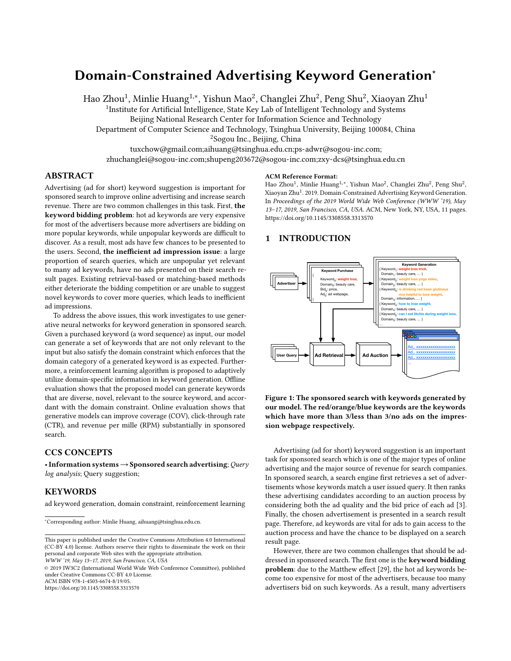<span id="page-9-0"></span>

| Model       |          | Domain      | Keyword                                   | Acc.                                       | Rel.                   |              |  |
|-------------|----------|-------------|-------------------------------------------|--------------------------------------------|------------------------|--------------|--|
|             | Original | Translated  | Original                                  | Translated                                 |                        |              |  |
| Source      | 美容保健     | beauty care | 减肥减肥                                      | weight loss weight loss                    |                        |              |  |
| 美容保健        |          | beauty care | 抖音上的减肥的舞蹈视频<br>dance video on weight loss |                                            | $\Omega$               | 1            |  |
|             | 美容保健     | beauty care | 抖音上的减肥的舞蹈视频教程                             | dance video tutorial on weight loss        | 1                      | $\mathbf{1}$ |  |
|             | 美容保健     | beauty care | 减肥的人可以吃什么水果                               | what fruit is not easy for people          |                        | $\Omega$     |  |
| Seq2Seq     |          |             | 不容易                                       | who want to lose weight                    |                        |              |  |
|             | 美容保健     | beauty care | 减肥的人可以吃什么水果                               | what fruit is not easy to fat for          | 1                      | $\mathbf{1}$ |  |
|             |          |             | 不容易胖                                      | people who want to lose weight             |                        |              |  |
|             | 信息       | information | 减肥的时候吃的热量低的食物                             | low calorie food when losing weight        | $\mathbf{1}$           | $\mathbf{1}$ |  |
|             | 信息       | information | 减肥吃什么肉会胖                                  | what meat will lead to fat if I eat during | $\Omega$               |              |  |
|             |          |             |                                           | weight loss                                |                        |              |  |
| <b>CVAE</b> | 美容保健     | beauty care | 减肥期间吃什么主食最好                               | what is the best staple food               | 1                      | $\mathbf{1}$ |  |
|             |          |             |                                           | during weight loss                         |                        |              |  |
|             | 电脑网络     | Internet    | 一天中什么时候减肥最好                               | when is the best time to lose              | $\Omega$               | $\mathbf{1}$ |  |
|             |          |             |                                           | weight in a day                            |                        |              |  |
|             | 美容保健     | beauty care | 减肥瑜伽视频                                    | weight loss yoga video                     | $\mathbf{1}$           | $\mathbf{1}$ |  |
|             | 美容保健     | beauty care | 减肥小妙招                                     | weight loss trick                          | 1                      | $\mathbf{1}$ |  |
| <b>DCKG</b> | 美容保健     | beauty care | 减肥能吃荔枝吗                                   | can I eat litchis during weight loss       | 1                      | $\mathbf{1}$ |  |
|             | 信息       |             | 喝红豆薏米减肥吗                                  | is drinking red bean glutinous rice        |                        | $\mathbf{1}$ |  |
|             |          |             | information                               |                                            | helpful to lose weight |              |  |

Table 6: Sample keywords generated by different models with domain accuracy (Acc.) and relevance (Rel.).

<span id="page-9-1"></span>

|      |            | Keyword                     | Acc.     | Rel.     |  |
|------|------------|-----------------------------|----------|----------|--|
|      | Original   | 减肥瘦身应该吃什么                   |          |          |  |
| 0.00 | Translated | what should I eat to        | $\Omega$ | 1        |  |
|      |            | lose weight and slim        |          |          |  |
|      | Original   | 减肥吃什么肉会胖                    |          |          |  |
| 1.00 | Translated | what meat will lead to fat  | $\Omega$ | 1        |  |
|      |            | if I eat during weight loss |          |          |  |
|      | Original   | 减肥吃牛肉有什么好处                  |          |          |  |
| 2.00 | Translated | the benefits of eating beef |          | 1        |  |
|      |            | during weight loss          |          |          |  |
|      | Original   | 减肥吃牛肉有什么好处                  |          |          |  |
| 3.00 | Translated | the benefits of eating beef |          | 1        |  |
|      |            | during weight loss          |          |          |  |
|      | Original   | 减肥公司调查报告范文                  |          |          |  |
| 4.00 | Translated | weight loss company survey  | 1        | $\Omega$ |  |
|      |            | report essay                |          |          |  |
|      | Original   | 减肥公司调查调查信息                  |          |          |  |
| 5.00 | Translated | weight loss company survey  |          | $\Omega$ |  |
|      |            | survey information          |          |          |  |

Table 7: Sample keywords conditioned on different with domain accuracy (Acc.) and relevance (Rel.).

to the source keyword, it is inconsistent with its domain category "information" since the domain-specific information is less considered than the semantic information in this case. By contrast, DCKG is able to choose a proper domain constraint factor to balance the domain-specific information and the semantic information for each instance. Hence, the generated keywords are both relevant to the source keyword and consistent with their domain categories.

In order to validate the influence of the domain constraint factor in the generated keywords, we presented several sample keywords generated by DCKG with different values in Table [7.](#page-9-1) Take the 6th keyword in Table [6](#page-9-0) as an example. Given the source keywords "weight loss weight loss" and its domain category "beauty care", our model predicts a target domain category "information", and then generates keywords with different values while other parameters are fixed.

As shown in Table [6,](#page-9-0) when equals to 0.00, the target keyword belongs to the source domain category "beauty care" but violates the target domain category "information" since the keyword is generated regardless of the domain-specific information. With the increase of , the domain accuracy improves since more domainspecific information is involved in the model, but the relevance decreases in some instances because the model faces with the compatibility of controlling semantic and domain-specific information. For example, the keywords generated when  $= 2.00/3.00$ , are both consistent to the target domain category and relevant to the source keyword. However, when increases to 4.00/5.00, the generated keywords are not relevant to the source keyword anymore, as a high value will harm the quality of generated keywords severely.

## 5 CONCLUSION

In this paper, we investigate the use of generative neural networks for ad keyword generation. We propose a Domain-Constrained Keyword Generator (DCKG) to generate diversified and domainconsistent keywords. A latent variable network is designed to model the diversity and a domain constraint network to satisfy the domain constraint in supervised learning. To further leverage the domainspecific information in keyword generation, we propose a reinforcement learning algorithm to adaptively utilize domain-specific information in keyword generation. Offline evaluation shows that the proposed model can generate keywords that are diverse, novel, relevant to the source keyword, and accordant with the domain constraint. Online evaluation shows that generative models can improve coverage (COV), click-through rate (CTR), and revenue per mille (RPM) substantially in sponsored search.

# ACKNOWLEDGMENTS

This work was jointly supported by the National Science Foundation of China (Grant No.61876096/61332007), and the National Key R&D Program of China (Grant No. 2018YFC0830200).